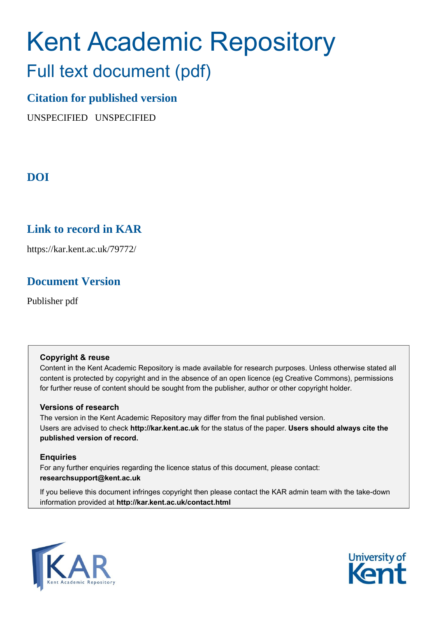# Kent Academic Repository

## Full text document (pdf)

## **Citation for published version**

UNSPECIFIED UNSPECIFIED

## **DOI**

## **Link to record in KAR**

https://kar.kent.ac.uk/79772/

## **Document Version**

Publisher pdf

#### **Copyright & reuse**

Content in the Kent Academic Repository is made available for research purposes. Unless otherwise stated all content is protected by copyright and in the absence of an open licence (eg Creative Commons), permissions for further reuse of content should be sought from the publisher, author or other copyright holder.

#### **Versions of research**

The version in the Kent Academic Repository may differ from the final published version. Users are advised to check **http://kar.kent.ac.uk** for the status of the paper. **Users should always cite the published version of record.**

#### **Enquiries**

For any further enquiries regarding the licence status of this document, please contact: **researchsupport@kent.ac.uk**

If you believe this document infringes copyright then please contact the KAR admin team with the take-down information provided at **http://kar.kent.ac.uk/contact.html**



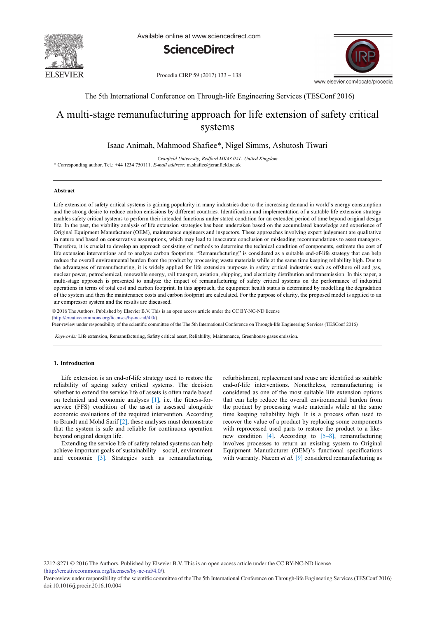

Available online at www.sciencedirect.com



Procedia CIRP 59 (2017) 133 - 138



The 5th International Conference on Through-life Engineering Services (TESConf 2016)

### A multi-stage remanufacturing approach for life extension of safety critical systems

#### Isaac Animah, Mahmood Shafiee\*, Nigel Simms, Ashutosh Tiwari

*Cranfield University, Bedford MK43 0AL, United Kingdom* \* Corresponding author. Tel.: +44 1234 750111. *E-mail address:* m.shafiee@cranfield.ac.uk

#### **Abstract**

Life extension of safety critical systems is gaining popularity in many industries due to the increasing demand in world's energy consumption and the strong desire to reduce carbon emissions by different countries. Identification and implementation of a suitable life extension strategy enables safety critical systems to perform their intended functions under stated condition for an extended period of time beyond original design life. In the past, the viability analysis of life extension strategies has been undertaken based on the accumulated knowledge and experience of Original Equipment Manufacturer (OEM), maintenance engineers and inspectors. These approaches involving expert judgement are qualitative in nature and based on conservative assumptions, which may lead to inaccurate conclusion or misleading recommendations to asset managers. Therefore, it is crucial to develop an approach consisting of methods to determine the technical condition of components, estimate the cost of life extension interventions and to analyze carbon footprints. "Remanufacturing" is considered as a suitable end-of-life strategy that can help reduce the overall environmental burden from the product by processing waste materials while at the same time keeping reliability high. Due to the advantages of remanufacturing, it is widely applied for life extension purposes in safety critical industries such as offshore oil and gas, nuclear power, petrochemical, renewable energy, rail transport, aviation, shipping, and electricity distribution and transmission. In this paper, a multi-stage approach is presented to analyze the impact of remanufacturing of safety critical systems on the performance of industrial operations in terms of total cost and carbon footprint. In this approach, the equipment health status is determined by modelling the degradation of the system and then the maintenance costs and carbon footprint are calculated. For the purpose of clarity, the proposed model is applied to an air compressor system and the results are discussed.

© 2016 The Authors. Published by Elsevier B.V. © 2016 The Authors. Published by Elsevier B.V. This is an open access article under the CC BY-NC-ND license (http://creativecommons.org/licenses/by-nc-nd/4.0/).

Peer-review under responsibility of the scientific committee of the The 5th International Conference on Through-life Engineering Services (TESConf 2016)

*Keywords:* Life extension, Remanufacturing, Safety critical asset, Reliability, Maintenance, Greenhouse gases emission.

#### **1. Introduction**

Life extension is an end-of-life strategy used to restore the reliability of ageing safety critical systems. The decision whether to extend the service life of assets is often made based on technical and economic analyses [1], i.e. the fitness-forservice (FFS) condition of the asset is assessed alongside economic evaluations of the required intervention. According to Brandt and Mohd Sarif [2], these analyses must demonstrate that the system is safe and reliable for continuous operation beyond original design life.

Extending the service life of safety related systems can help achieve important goals of sustainability—social, environment and economic [3]. Strategies such as remanufacturing,

refurbishment, replacement and reuse are identified as suitable end-of-life interventions. Nonetheless, remanufacturing is considered as one of the most suitable life extension options that can help reduce the overall environmental burden from the product by processing waste materials while at the same time keeping reliability high. It is a process often used to recover the value of a product by replacing some components with reprocessed used parts to restore the product to a likenew condition  $[4]$ . According to  $[5-8]$ , remanufacturing involves processes to return an existing system to Original Equipment Manufacturer (OEM)'s functional specifications with warranty. Naeem *et al.* [9] considered remanufacturing as

2212-8271 © 2016 The Authors. Published by Elsevier B.V. This is an open access article under the CC BY-NC-ND license (http://creativecommons.org/licenses/by-nc-nd/4.0/).

Peer-review under responsibility of the scientific committee of the The 5th International Conference on Through-life Engineering Services (TESConf 2016) doi: 10.1016/j.procir.2016.10.004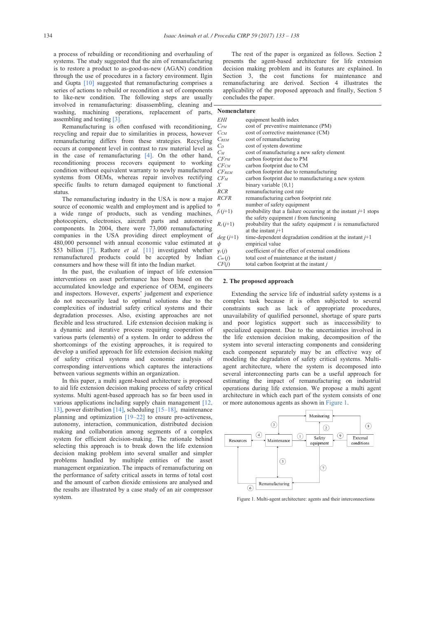a process of rebuilding or reconditioning and overhauling of systems. The study suggested that the aim of remanufacturing is to restore a product to as-good-as-new (AGAN) condition through the use of procedures in a factory environment. Ilgin and Gupta [10] suggested that remanufacturing comprises a series of actions to rebuild or recondition a set of components to like-new condition. The following steps are usually involved in remanufacturing: disassembling, cleaning and washing, machining operations, replacement of parts, assembling and testing [3].

Remanufacturing is often confused with reconditioning, recycling and repair due to similarities in process, however remanufacturing differs from these strategies. Recycling occurs at component level in contrast to raw material level as in the case of remanufacturing [4]. On the other hand, reconditioning process recovers equipment to working condition without equivalent warranty to newly manufactured systems from OEMs, whereas repair involves rectifying specific faults to return damaged equipment to functional status.

The remanufacturing industry in the USA is now a major source of economic wealth and employment and is applied to a wide range of products, such as vending machines, photocopiers, electronics, aircraft parts and automotive components. In 2004, there were 73,000 remanufacturing companies in the USA providing direct employment of 480,000 personnel with annual economic value estimated at \$53 billion [7]. Rathore *et al.* [11] investigated whether remanufactured products could be accepted by Indian consumers and how these will fit into the Indian market.

In the past, the evaluation of impact of life extension interventions on asset performance has been based on the accumulated knowledge and experience of OEM, engineers and inspectors. However, experts' judgement and experience do not necessarily lead to optimal solutions due to the complexities of industrial safety critical systems and their degradation processes. Also, existing approaches are not flexible and less structured. Life extension decision making is a dynamic and iterative process requiring cooperation of various parts (elements) of a system. In order to address the shortcomings of the existing approaches, it is required to develop a unified approach for life extension decision making of safety critical systems and economic analysis of corresponding interventions which captures the interactions between various segments within an organization.

In this paper, a multi agent-based architecture is proposed to aid life extension decision making process of safety critical systems. Multi agent-based approach has so far been used in various applications including supply chain management [12, 13], power distribution [14], scheduling [15–18], maintenance planning and optimization [19–22] to ensure pro-activeness, autonomy, interaction, communication, distributed decision making and collaboration among segments of a complex system for efficient decision-making. The rationale behind selecting this approach is to break down the life extension decision making problem into several smaller and simpler problems handled by multiple entities of the asset management organization. The impacts of remanufacturing on the performance of safety critical assets in terms of total cost and the amount of carbon dioxide emissions are analysed and the results are illustrated by a case study of an air compressor system.

The rest of the paper is organized as follows. Section 2 presents the agent-based architecture for life extension decision making problem and its features are explained. In Section 3, the cost functions for maintenance and remanufacturing are derived. Section 4 illustrates the applicability of the proposed approach and finally, Section 5 concludes the paper.

#### **Nomenclature**

| EHI           | equipment health index                                          |
|---------------|-----------------------------------------------------------------|
| $C_{PM}$      | cost of preventive maintenance (PM)                             |
| $C_{CM}$      | cost of corrective maintenance (CM)                             |
| $C_{REM}$     | cost of remanufacturing                                         |
| $C_D$         | cost of system downtime                                         |
| $C_M$         | cost of manufacturing a new safety element                      |
| $CF_{PM}$     | carbon footprint due to PM                                      |
| $CF_{CM}$     | carbon footprint due to CM                                      |
| $CF_{REM}$    | carbon footprint due to remanufacturing                         |
| $CF_M$        | carbon footprint due to manufacturing a new system              |
| Χ             | binary variable $\{0,1\}$                                       |
| RCR           | remanufacturing cost rate                                       |
| <b>RCFR</b>   | remanufacturing carbon footprint rate                           |
| n             | number of safety equipment                                      |
| $f_i(j+1)$    | probability that a failure occurring at the instant $j+1$ stops |
|               | the safety equipment <i>i</i> from functioning                  |
| $R_i (j+1)$   | probability that the safety equipment $i$ is remanufactured     |
|               | at the instant $j+1$                                            |
| $deg(i+1)$    | time-dependent degradation condition at the instant $j+1$       |
| ψ             | empirical value                                                 |
| $\gamma_i(j)$ | coefficient of the effect of external conditions                |
| $C_m(j)$      | total cost of maintenance at the instant j                      |
| CF(j)         | total carbon footprint at the instant j                         |

#### **2. The proposed approach**

Extending the service life of industrial safety systems is a complex task because it is often subjected to several constraints such as lack of appropriate procedures, unavailability of qualified personnel, shortage of spare parts and poor logistics support such as inaccessibility to specialized equipment. Due to the uncertainties involved in the life extension decision making, decomposition of the system into several interacting components and considering each component separately may be an effective way of modeling the degradation of safety critical systems. Multiagent architecture, where the system is decomposed into several interconnecting parts can be a useful approach for estimating the impact of remanufacturing on industrial operations during life extension. We propose a multi agent architecture in which each part of the system consists of one or more autonomous agents as shown in Figure 1.



Figure 1. Multi-agent architecture: agents and their interconnections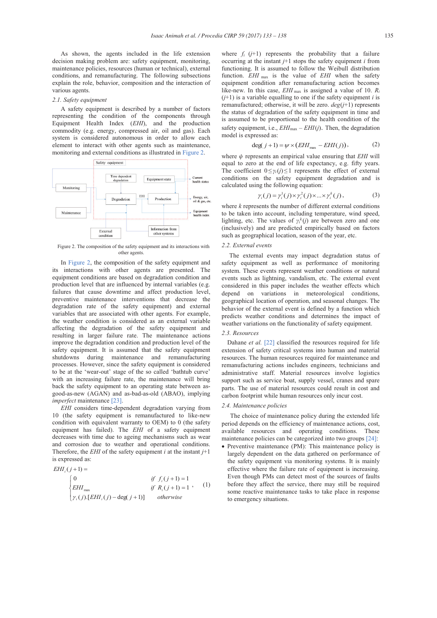As shown, the agents included in the life extension decision making problem are: safety equipment, monitoring, maintenance policies, resources (human or technical), external conditions, and remanufacturing. The following subsections explain the role, behavior, composition and the interaction of various agents.

#### *2.1. Safety equipment*

A safety equipment is described by a number of factors representing the condition of the components through Equipment Health Index (*EHI*), and the production commodity (e.g. energy, compressed air, oil and gas). Each system is considered autonomous in order to allow each element to interact with other agents such as maintenance, monitoring and external conditions as illustrated in Figure 2.



Figure 2. The composition of the safety equipment and its interactions with other agents.

In Figure 2, the composition of the safety equipment and its interactions with other agents are presented. The equipment conditions are based on degradation condition and production level that are influenced by internal variables (e.g. failures that cause downtime and affect production level, preventive maintenance interventions that decrease the degradation rate of the safety equipment) and external variables that are associated with other agents. For example, the weather condition is considered as an external variable affecting the degradation of the safety equipment and resulting in larger failure rate. The maintenance actions improve the degradation condition and production level of the safety equipment. It is assumed that the safety equipment shutdowns during maintenance and remanufacturing processes. However, since the safety equipment is considered to be at the 'wear-out' stage of the so called 'bathtub curve' with an increasing failure rate, the maintenance will bring back the safety equipment to an operating state between asgood-as-new (AGAN) and as-bad-as-old (ABAO), implying *imperfect* maintenance [23].

*EHI* considers time-dependent degradation varying from 10 (the safety equipment is remanufactured to like-new condition with equivalent warranty to OEM) to 0 (the safety equipment has failed). The *EHI* of a safety equipment decreases with time due to ageing mechanisms such as wear and corrosion due to weather and operational conditions. Therefore, the *EHI* of the safety equipment *i* at the instant *j*+1 is expressed as:

$$
EHI_i(j+1) =
$$
\n
$$
\begin{cases}\n0 & \text{if } f_i(j+1) = 1 \\
EHI_{\text{max}} & \text{if } R_i(j+1) = 1 \\
\gamma_i(j).[EHI_i(j) - \text{deg}(j+1)] & otherwise\n\end{cases}
$$

where  $f_i$  ( $j+1$ ) represents the probability that a failure occurring at the instant  $j+1$  stops the safety equipment  $i$  from functioning. It is assumed to follow the Weibull distribution function. *EHI* max is the value of *EHI* when the safety equipment condition after remanufacturing action becomes like-new. In this case, *EHI* <sub>max</sub> is assigned a value of 10.  $R_i$  $(j+1)$  is a variable equalling to one if the safety equipment *i* is remanufactured; otherwise, it will be zero.  $deg(j+1)$  represents the status of degradation of the safety equipment in time and is assumed to be proportional to the health condition of the safety equipment, i.e.,  $EHI_{\text{max}} - EH(I)$ . Then, the degradation model is expressed as:

$$
\deg(j+1) = \psi \times \left( EHI_{\text{max}} - EHI(j) \right),\tag{2}
$$

where *ψ* represents an empirical value ensuring that *EHI* will equal to zero at the end of life expectancy, e.g. fifty years. The coefficient  $0 \leq \gamma_i(j) \leq 1$  represents the effect of external conditions on the safety equipment degradation and is calculated using the following equation:

$$
\gamma_i(j) = \gamma_i^1(j) \times \gamma_i^2(j) \times \dots \times \gamma_i^k(j), \qquad (3)
$$

where *k* represents the number of different external conditions to be taken into account, including temperature, wind speed, lighting, etc. The values of  $\gamma_i^k(j)$  are between zero and one (inclusively) and are predicted empirically based on factors such as geographical location, season of the year, etc.

#### *2.2. External events*

The external events may impact degradation status of safety equipment as well as performance of monitoring system. These events represent weather conditions or natural events such as lightning, vandalism, etc. The external event considered in this paper includes the weather effects which depend on variations in meteorological conditions, geographical location of operation, and seasonal changes. The behavior of the external event is defined by a function which predicts weather conditions and determines the impact of weather variations on the functionality of safety equipment.

#### *2.3. Resources*

Dahane *et al.* [22] classified the resources required for life extension of safety critical systems into human and material resources. The human resources required for maintenance and remanufacturing actions includes engineers, technicians and administrative staff. Material resources involve logistics support such as service boat, supply vessel, cranes and spare parts. The use of material resources could result in cost and carbon footprint while human resources only incur cost.

#### *2.4. Maintenance policies*

, (1)

The choice of maintenance policy during the extended life period depends on the efficiency of maintenance actions, cost, available resources and operating conditions. These maintenance policies can be categorized into two groups [24]:

x Preventive maintenance (PM): This maintenance policy is largely dependent on the data gathered on performance of the safety equipment via monitoring systems. It is mainly effective where the failure rate of equipment is increasing. Even though PMs can detect most of the sources of faults before they affect the service, there may still be required some reactive maintenance tasks to take place in response to emergency situations.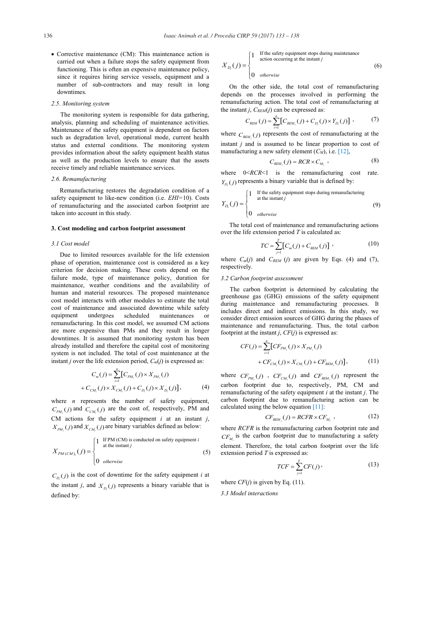$\bullet$  Corrective maintenance (CM): This maintenance action is carried out when a failure stops the safety equipment from functioning. This is often an expensive maintenance policy, since it requires hiring service vessels, equipment and a number of sub-contractors and may result in long downtimes.

#### *2.5. Monitoring system*

 The monitoring system is responsible for data gathering, analysis, planning and scheduling of maintenance activities. Maintenance of the safety equipment is dependent on factors such as degradation level, operational mode, current health status and external conditions. The monitoring system provides information about the safety equipment health status as well as the production levels to ensure that the assets receive timely and reliable maintenance services.

#### *2.6. Remanufacturing*

Remanufacturing restores the degradation condition of a safety equipment to like-new condition (i.e. *EHI*=10). Costs of remanufacturing and the associated carbon footprint are taken into account in this study.

#### **3. Cost modeling and carbon footprint assessment**

#### *3.1 Cost model*

Due to limited resources available for the life extension phase of operation, maintenance cost is considered as a key criterion for decision making. These costs depend on the failure mode, type of maintenance policy, duration for maintenance, weather conditions and the availability of human and material resources. The proposed maintenance cost model interacts with other modules to estimate the total cost of maintenance and associated downtime while safety equipment undergoes scheduled maintenances or remanufacturing. In this cost model, we assumed CM actions are more expensive than PMs and they result in longer downtimes. It is assumed that monitoring system has been already installed and therefore the capital cost of monitoring system is not included. The total of cost maintenance at the instant *j* over the life extension period,  $C_m(j)$  is expressed as:

$$
C_m(j) = \sum_{i=1}^{n} [C_{PM_i}(j) \times X_{PM_i}(j)
$$
  
+  $C_{CM_i}(j) \times X_{CM_i}(j) + C_{D_i}(j) \times X_{D_i}(j)]$ , (4)

where *n* represents the number of safety equipment,  $C_{PM_i}(j)$  and  $C_{CM_i}(j)$  are the cost of, respectively, PM and CM actions for the safety equipment *i* at an instant *j*,  $X_{PM_i}(j)$  and  $X_{CM_i}(j)$  are binary variables defined as below:

$$
X_{PM(CM)_i}(j) = \begin{cases} 1 & \text{if PM (CM) is conducted on safety equipment } i \\ & \text{at the instant } j \\ 0 & otherwise \end{cases}
$$
 (5)

 $C_{D_i}(j)$  is the cost of downtime for the safety equipment *i* at the instant *j*, and  $X_{D_i}(j)$  represents a binary variable that is defined by:

If the safety equipment stops during maintenance action occurring at the instant 
$$
j
$$

$$
X_{D_i}(j) = \begin{cases} \text{action occurring at the instant } j \\ 0 & \text{otherwise} \end{cases}
$$
 (6)

On the other side, the total cost of remanufacturing depends on the processes involved in performing the remanufacturing action. The total cost of remanufacturing at the instant *j*,  $C_{REM}(i)$  can be expressed as:

$$
C_{REM}(j) = \sum_{i=1}^{n} [C_{REM_i}(j) + C_{D_i}(j) \times Y_{D_i}(j)] , \qquad (7)
$$

where  $C_{\text{REM}_i}(j)$  represents the cost of remanufacturing at the instant *j* and is assumed to be linear proportion to cost of manufacturing a new safety element  $(C_M)$ , i.e.  $[12]$ ,

$$
C_{\text{REM}_i}(j) = RCR \times C_{M_i} \tag{8}
$$

where  $0 < RCR < 1$  is the remanufacturing cost rate.  $Y_{D_i}(j)$  represents a binary variable that is defined by:

$$
Y_{D_i}(j) = \begin{cases} 1 & \text{if the safety equipment stops during remainderuring} \\ & \text{at the instant } j \\ 0 & otherwise \end{cases}
$$
 (9)

The total cost of maintenance and remanufacturing actions over the life extension period *T* is calculated as:

$$
TC = \sum_{j=1}^{T} [C_m(j) + C_{REM}(j)] \tag{10}
$$

where  $C_m(j)$  and  $C_{REM}$  (*j*) are given by Eqs. (4) and (7), respectively.

#### *3.2 Carbon footprint assessment*

The carbon footprint is determined by calculating the greenhouse gas (GHG) emissions of the safety equipment during maintenance and remanufacturing processes. It includes direct and indirect emissions. In this study, we consider direct emission sources of GHG during the phases of maintenance and remanufacturing. Thus, the total carbon footprint at the instant  $j$ ,  $CF(j)$  is expressed as:

$$
CF(j) = \sum_{i=1}^{n} [CF_{PM_i}(j) \times X_{PM_i}(j) + CF_{RM_i}(j) \times X_{CM_i}(j) + CF_{REM_i}(j)],
$$
\n(11)

where  $CF_{PM_i}(j)$ ,  $CF_{CM_i}(j)$  and  $CF_{REM_i}(j)$  represent the carbon footprint due to, respectively, PM, CM and remanufacturing of the safety equipment *i* at the instant *j*. The carbon footprint due to remanufacturing action can be calculated using the below equation [11]:

$$
CF_{REM_i}(j) = RCFR \times CF_{M_i} \t\t(12)
$$

where *RCFR* is the remanufacturing carbon footprint rate and  $CF<sub>M</sub>$  is the carbon footprint due to manufacturing a safety element. Therefore, the total carbon footprint over the life extension period *T* is expressed as:

$$
TCF = \sum_{j=1}^{T} CF(j), \qquad (13)
$$

where  $CF(j)$  is given by Eq. (11).

*3.3 Model interactions*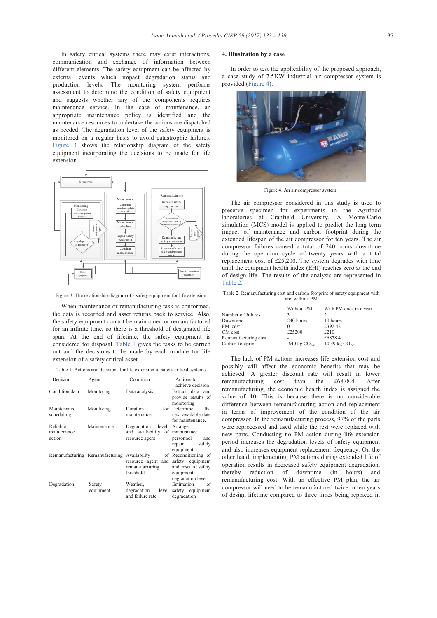In safety critical systems there may exist interactions, communication and exchange of information between different elements. The safety equipment can be affected by external events which impact degradation status and production levels. The monitoring system performs assessment to determine the condition of safety equipment and suggests whether any of the components requires maintenance service. In the case of maintenance, an appropriate maintenance policy is identified and the maintenance resources to undertake the actions are dispatched as needed. The degradation level of the safety equipment is monitored on a regular basis to avoid catastrophic failures. Figure 3 shows the relationship diagram of the safety equipment incorporating the decisions to be made for life extension.



Figure 3. The relationship diagram of a safety equipment for life extension.

When maintenance or remanufacturing task is conformed, the data is recorded and asset returns back to service. Also, the safety equipment cannot be maintained or remanufactured for an infinite time, so there is a threshold of designated life span. At the end of lifetime, the safety equipment is considered for disposal. Table 1 gives the tasks to be carried out and the decisions to be made by each module for life extension of a safety critical asset.

Table 1. Actions and decisions for life extension of safety critical systems.

| Decision                          | Agent                           | Condition                                                             | Actions to                                                                                        |
|-----------------------------------|---------------------------------|-----------------------------------------------------------------------|---------------------------------------------------------------------------------------------------|
|                                   |                                 |                                                                       | achieve decision                                                                                  |
| Condition data                    | Monitoring                      | Data analysis                                                         | Extract data and<br>provide results of<br>monitoring                                              |
| Maintenance<br>scheduling         | Monitoring                      | Duration<br>maintenance                                               | for Determine<br>the<br>next available date<br>for maintenance.                                   |
| Reliable<br>maintenance<br>action | Maintenance                     | Degradation<br>and availability<br>resource agent                     | level, Arrange<br>of maintenance<br>personnel<br>and<br>safety<br>repair<br>equipment             |
|                                   | Remanufacturing Remanufacturing | Availability<br>resource agent<br>and<br>remanufacturing<br>threshold | of Reconditioning of<br>safety equipment<br>and reset of safety<br>equipment<br>degradation level |
| Degradation                       | Safety<br>equipment             | Weather,<br>degradation<br>level<br>and failure rate                  | Estimation<br>of<br>safety equipment<br>degradation                                               |

#### **4. Illustration by a case**

In order to test the applicability of the proposed approach, a case study of 7.5KW industrial air compressor system is provided (Figure 4).



Figure 4. An air compressor system.

The air compressor considered in this study is used to preserve specimen for experiments in the Agrifood laboratories at Cranfield University. A Monte-Carlo simulation (MCS) model is applied to predict the long term impact of maintenance and carbon footprint during the extended lifespan of the air compressor for ten years. The air compressor failures caused a total of 240 hours downtime during the operation cycle of twenty years with a total replacement cost of £25,200. The system degrades with time until the equipment health index (EHI) reaches zero at the end of design life. The results of the analysis are represented in Table 2.

Table 2. Remanufacturing cost and carbon footprint of safety equipment with and without PM

|                      | Without PM        | With PM once in a year |
|----------------------|-------------------|------------------------|
| Number of failures   |                   |                        |
| Downtime             | 240 hours         | 19 hours               |
| PM cost              | $_{0}$            | £392.42                |
| CM cost              | £25200            | £210                   |
| Remanufacturing cost |                   | £6878.4                |
| Carbon footprint     | 640 kg $CO_{2-e}$ | 10.49 kg $CO_{2-e}$    |

The lack of PM actions increases life extension cost and possibly will affect the economic benefits that may be achieved. A greater discount rate will result in lower remanufacturing cost than the  $£6878.4$ . remanufacturing, the economic health index is assigned the value of 10. This is because there is no considerable difference between remanufacturing action and replacement in terms of improvement of the condition of the air compressor. In the remanufacturing process, 97% of the parts were reprocessed and used while the rest were replaced with new parts. Conducting no PM action during life extension period increases the degradation levels of safety equipment and also increases equipment replacement frequency. On the other hand, implementing PM actions during extended life of operation results in decreased safety equipment degradation, thereby reduction of downtime (in hours) and remanufacturing cost. With an effective PM plan, the air compressor will need to be remanufactured twice in ten years of design lifetime compared to three times being replaced in